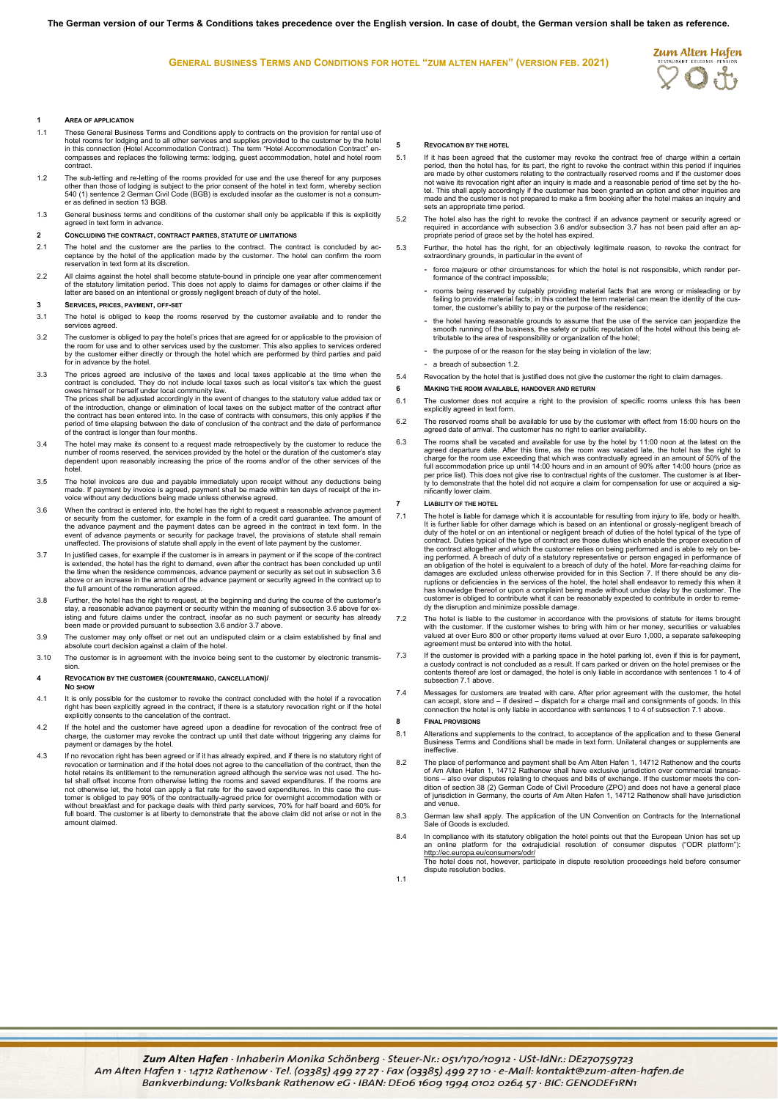**GENERAL BUSINESS TERMS AND CONDITIONS FOR HOTEL "ZUM ALTEN HAFEN" (VERSION FEB. 2021)**



## **1 AREA OF APPLICATION**

- 1.1 These General Business Terms and Conditions apply to contracts on the provision for rental use of hotel rooms for lodging and to all other services and supplies provided to the customer by the hotel in this connection (Hotel Accommodation Contract). The term "Hotel Accommodation Contract" en-compasses and replaces the following terms: lodging, guest accommodation, hotel and hotel room contract.
- 1.2 The sub-letting and re-letting of the rooms provided for use and the use thereof for any purposes other than those of lodging is subject to the prior consent of the hotel in text form, whereby section 540 (1) sentence 2 German Civil Code (BGB) is excluded insofar as the customer is not a consumer as defined in section 13 BGB.
- 1.3 General business terms and conditions of the customer shall only be applicable if this is explicitly agreed in text form in advance.

## **2 CONCLUDING THE CONTRACT, CONTRACT PARTIES, STATUTE OF LIMITATIONS**

- 2.1 The hotel and the customer are the parties to the contract. The contract is concluded by acceptance by the hotel of the application made by the customer. The hotel can confirm the room reservation in text form at its discretion.
- 2.2 All claims against the hotel shall become statute-bound in principle one year after commencement of the statutory limitation period. This does not apply to claims for damages or other claims if the latter are based on an intentional or grossly negligent breach of duty of the hotel.

### **3 SERVICES, PRICES, PAYMENT, OFF-SET**

- 3.1 The hotel is obliged to keep the rooms reserved by the customer available and to render the services agreed.
- 3.2 The customer is obliged to pay the hotel's prices that are agreed for or applicable to the provision of the room for use and to other services used by the customer. This also applies to services ordered by the customer either directly or through the hotel which are performed by third parties and paid for in advance by the hotel.
- 3.3 The prices agreed are inclusive of the taxes and local taxes applicable at the time when the contract is concluded. They do not include local taxes such as local visitor's tax which the guest owes himself or herself under local community law.<br>The prices shall be adjusted accordingly in the event of changes to the statutory value added tax or<br>of the introduction, change or elimination of local taxes on the subje the contract has been entered into. In the case of contracts with consumers, this only applies if the period of time elapsing between the date of conclusion of the contract and the date of performance of the contract is longer than four months.
- 3.4 The hotel may make its consent to a request made retrospectively by the customer to reduce the number of rooms reserved, the services provided by the hotel or the duration of the customer's stay dependent upon reasonably increasing the price of the rooms and/or of the other services of the hotel.
- 3.5 The hotel invoices are due and payable immediately upon receipt without any deductions being made. If payment by invoice is agreed, payment shall be made within ten days of receipt of the in-voice without any deductions being made unless otherwise agreed.
- 3.6 When the contract is entered into, the hotel has the right to request a reasonable advance payment or security from the customer, for example in the form of a credit card guarantee. The amount of<br>the advance payment and the payment dates can be agreed in the contract in text form. In the<br>event of advance payments or sec
- In justified cases, for example if the customer is in arrears in payment or if the scope of the contract! is e<br>is extended, the hotel has the right to demand, even after the contract has been concluded up until<br>the time w above or an increase in the amount of the advance payment or security agreed in the contract up to the full amount of the remuneration agreed.
- 3.8 Further, the hotel has the right to request, at the beginning and during the course of the customer's stay, a reasonable advance payment or security within the meaning of subsection 3.6 above for existing and future claims under the contract, insofar as no such payment or security has already been made or provided pursuant to subsection 3.6 and/or 3.7 above.
- 3.9 The customer may only offset or net out an undisputed claim or a claim established by final and absolute court decision against a claim of the hote
- 3.10 The customer is in agreement with the invoice being sent to the customer by electronic transmission.

# **4 REVOCATION BY THE CUSTOMER (COUNTERMAND, CANCELLATION)/**

#### **NO SHOW**

- 4.1 It is only possible for the customer to revoke the contract concluded with the hotel if a revocation right has been explicitly agreed in the contract, if there is a statutory revocation right or if the hotel explicitly consents to the cancelation of the contract.
- 4.2 If the hotel and the customer have agreed upon a deadline for revocation of the contract free of<br>charge, the customer may revoke the contract up until that date without triggering any claims for<br>payment or damages by t
- 4.3 If no revocation right has been agreed or if it has already expired, and if there is no statutory right of revocation or termination and if the hotel does not agree to the cancellation of the contract, then the hotel retains its entitlement to the remuneration agreed although the service was not used. The ho-tel shall offset income from otherwise letting the rooms and saved expenditures. If the rooms are not otherwise let, the hotel can apply a flat rate for the saved expenditures. In this case the cus-<br>tomer is obliged to pay 90% of the contractually-agreed price for overnight accommodation with or<br>without breakfast and f amount claimed.

#### **5 REVOCATION BY THE HOTEL**

- 5.1 If it has been agreed that the customer may revoke the contract free of charge within a certain period, then the hotel has, for its part, the right to revoke the contract within this period if inquiries are made by other customers relating to the contractually reserved rooms and if the customer does not waive its revocation right after an inquiry is made and a reasonable period of time set by the ho-tel. This shall apply accordingly if the customer has been granted an option and other inquiries are made and the customer is not prepared to make a firm booking after the hotel makes an inquiry and sets an appropriate time period.
- 5.2 The hotel also has the right to revoke the contract if an advance payment or security agreed or<br>required in accordance with subsection 3.6 and/or subsection 3.7 has not been paid after an ap-<br>propriate period of grace
- 5.3 Further, the hotel has the right, for an objectively legitimate reason, to revoke the contract for extraordinary grounds, in particular in the event of
	- force majeure or other circumstances for which the hotel is not responsible, which render perina<sub>p</sub>parts of the contract impossible
	- rooms being reserved by culpably providing material facts that are wrong or misleading or by failing to provide material facts; in this context the term material can mean the identity of the customer, the customer's ability to pay or the purpose of the residence;
	- the hotel having reasonable grounds to assume that the use of the service can jeopardize the smooth running of the business, the safety or public reputation of the hotel without this being atshooth funning of the business, the safety of public reputation of the hotel;
	- the purpose of or the reason for the stay being in violation of the law
	- a breach of subsection 1.2.
- 5.4 Revocation by the hotel that is justified does not give the customer the right to claim damages.
- **6 MAKING THE ROOM AVAILABLE, HANDOVER AND RETURN**
- 6.1 The customer does not acquire a right to the provision of specific rooms unless this has been explicitly agreed in text form.
- 6.2 The reserved rooms shall be available for use by the customer with effect from 15:00 hours on the agreed date of arrival. The customer has no right to earlier availability.
- 6.3 The rooms shall be vacated and available for use by the hotel by 11:00 noon at the latest on the agreed departure date. After this time, as the room was vacated late, the hotel has the right to charge for the room use per price list). This does not give rise to contractual rights of the customer. The customer is at liber-ty to demonstrate that the hotel did not acquire a claim for compensation for use or acquired a significantly lower claim.

#### **7 LIABILITY OF THE HOTEL**

- .11 The hotel is liable for damage which it is accountable for resulting from injury to life, body or health.<br>It is further liable for other damage which is based on an intentional or grossly-negligent breach of<br>duty of th contract. Duties typical of the type of contract are those duties which enable the proper execution of<br>the contract altogether and which the customer relies on being performed and is able to rely on be-<br>ing performed. A br damages are excluded unless otherwise provided for in this Section 7. If there should be any disruptions or deficiencies in the services of the hotel, the hotel shall endeavor to remedy this when it has knowledge thereof or upon a complaint being made without undue delay by the customer. The customer is obliged to contribute what it can be reasonably expected to contribute in order to remedy the disruption and minimize possible damage.
- The hotel is liable to the customer in accordance with the provisions of statute for items brought with the customer wishes to bring with him or her money, securities or valuables<br>with the customer. If the customer wishes agreement must be entered into with the hotel.
- 7.3 If the customer is provided with a parking space in the hotel parking lot, even if this is for payment, a custody contract is not concluded as a result. If cars parked or driven on the hotel premises or the contents thereof are lost or damaged, the hotel is only liable in accordance with sentences 1 to 4 of subsection 7.1 above.
- 7.4 Messages for customers are treated with care. After prior agreement with the customer, the hotel can accept, store and – if desired – dispatch for a charge mail and consignments of goods. In this connection the hotel is only liable in accordance with sentences 1 to 4 of subsection 7.1 above.

## **8 FINAL PROVISIONS**

- 8.1 Alterations and supplements to the contract, to acceptance of the application and to these General Business Terms and Conditions shall be made in text form. Unilateral changes or supplements are ineffective.
- 8.2 The place of performance and payment shall be Am Alten Hafen 1, 14712 Rathenow and the courts of Am Alten Hafen 1, 14712 Rathenow shall have exclusive jurisdiction over commercial transac-<br>tions – also over disputes relating to cheques and bills of exchange. If the customer meets the con-<br>dition of section 38 (2) G and venue.
- 8.3 German law shall apply. The application of the UN Convention on Contracts for the International Sale of Goods is excluded.
- 8.4 In compliance with its statutory obligation the hotel points out that the European Union has set up an online platform for the extrajudicial resolution of consumer disputes ("ODR platform") <http://ec.europa.eu/consumers/odr/> The hotel does not, however, participate in dispute resolution proceedings held before consumer dispute resolution bodies.
	-

1.1

Zum Alten Hafen · Inhaberin Monika Schönberg · Steuer-Nr.: 051/170/10912 · USt-IdNr.: DE270759723 Am Alten Hafen 1 · 14712 Rathenow · Tel. (03385) 499 27 27 · Fax (03385) 499 2710 · e-Mail: kontakt@zum-alten-hafen.de<br>Bankverbindung: Volksbank Rathenow eG · IBAN: DE06 1609 1994 0102 0264 57 · BIC: GENODEF1RN1